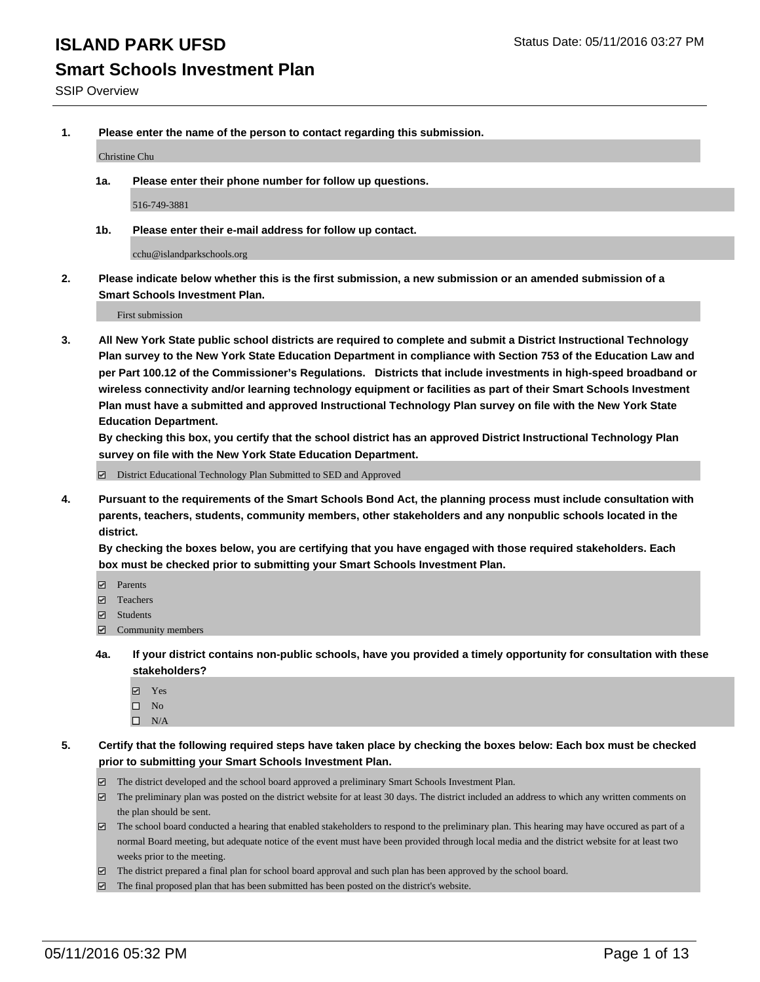# **Smart Schools Investment Plan**

**1. Please enter the name of the person to contact regarding this submission.**

Christine Chu

**1a. Please enter their phone number for follow up questions.**

516-749-3881

**1b. Please enter their e-mail address for follow up contact.**

cchu@islandparkschools.org

**2. Please indicate below whether this is the first submission, a new submission or an amended submission of a Smart Schools Investment Plan.**

First submission

**3. All New York State public school districts are required to complete and submit a District Instructional Technology Plan survey to the New York State Education Department in compliance with Section 753 of the Education Law and per Part 100.12 of the Commissioner's Regulations. Districts that include investments in high-speed broadband or wireless connectivity and/or learning technology equipment or facilities as part of their Smart Schools Investment Plan must have a submitted and approved Instructional Technology Plan survey on file with the New York State Education Department.** 

**By checking this box, you certify that the school district has an approved District Instructional Technology Plan survey on file with the New York State Education Department.**

■ District Educational Technology Plan Submitted to SED and Approved

**4. Pursuant to the requirements of the Smart Schools Bond Act, the planning process must include consultation with parents, teachers, students, community members, other stakeholders and any nonpublic schools located in the district.** 

**By checking the boxes below, you are certifying that you have engaged with those required stakeholders. Each box must be checked prior to submitting your Smart Schools Investment Plan.**

- **Parents**
- □ Teachers
- Students
- $\boxdot$  Community members
- **4a. If your district contains non-public schools, have you provided a timely opportunity for consultation with these stakeholders?**
	- Yes
	- $\square$  No
	- $\Box$  N/A
- **5. Certify that the following required steps have taken place by checking the boxes below: Each box must be checked prior to submitting your Smart Schools Investment Plan.**
	- The district developed and the school board approved a preliminary Smart Schools Investment Plan.
	- The preliminary plan was posted on the district website for at least 30 days. The district included an address to which any written comments on the plan should be sent.
	- $\Box$  The school board conducted a hearing that enabled stakeholders to respond to the preliminary plan. This hearing may have occured as part of a normal Board meeting, but adequate notice of the event must have been provided through local media and the district website for at least two weeks prior to the meeting.
	- The district prepared a final plan for school board approval and such plan has been approved by the school board.
	- The final proposed plan that has been submitted has been posted on the district's website.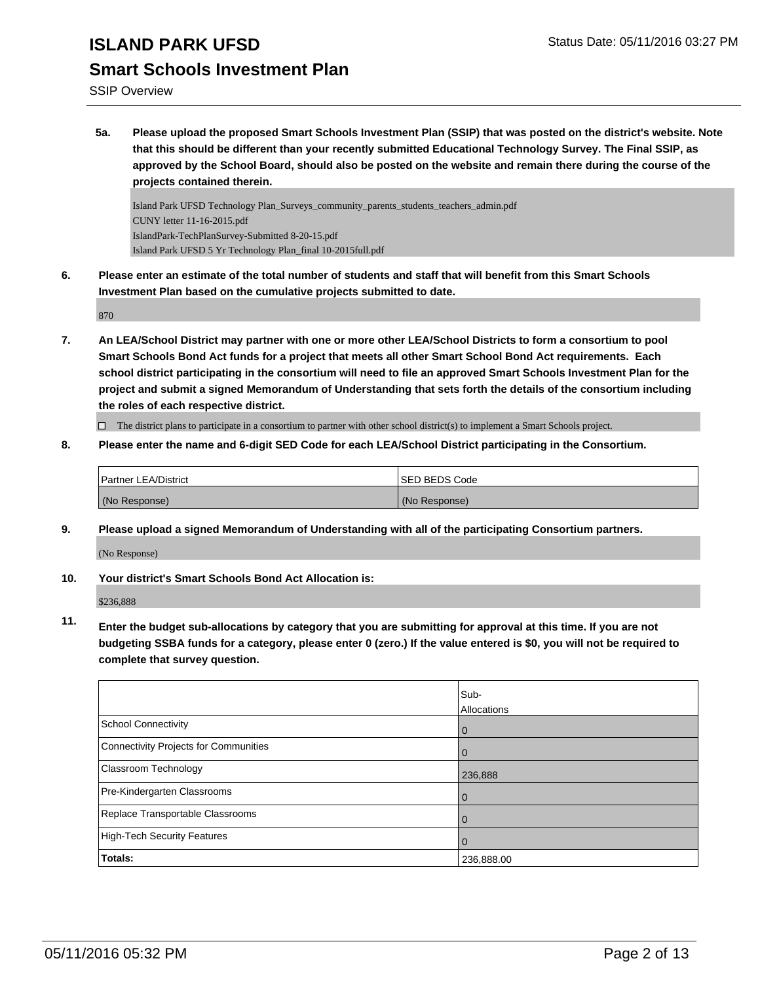SSIP Overview

**5a. Please upload the proposed Smart Schools Investment Plan (SSIP) that was posted on the district's website. Note that this should be different than your recently submitted Educational Technology Survey. The Final SSIP, as approved by the School Board, should also be posted on the website and remain there during the course of the projects contained therein.**

Island Park UFSD Technology Plan\_Surveys\_community\_parents\_students\_teachers\_admin.pdf CUNY letter 11-16-2015.pdf IslandPark-TechPlanSurvey-Submitted 8-20-15.pdf Island Park UFSD 5 Yr Technology Plan\_final 10-2015full.pdf

**6. Please enter an estimate of the total number of students and staff that will benefit from this Smart Schools Investment Plan based on the cumulative projects submitted to date.**

870

**7. An LEA/School District may partner with one or more other LEA/School Districts to form a consortium to pool Smart Schools Bond Act funds for a project that meets all other Smart School Bond Act requirements. Each school district participating in the consortium will need to file an approved Smart Schools Investment Plan for the project and submit a signed Memorandum of Understanding that sets forth the details of the consortium including the roles of each respective district.**

 $\Box$  The district plans to participate in a consortium to partner with other school district(s) to implement a Smart Schools project.

**8. Please enter the name and 6-digit SED Code for each LEA/School District participating in the Consortium.**

| <b>Partner LEA/District</b> | <b>ISED BEDS Code</b> |
|-----------------------------|-----------------------|
| (No Response)               | (No Response)         |

**9. Please upload a signed Memorandum of Understanding with all of the participating Consortium partners.** (No Response)

**10. Your district's Smart Schools Bond Act Allocation is:**

\$236,888

**11. Enter the budget sub-allocations by category that you are submitting for approval at this time. If you are not budgeting SSBA funds for a category, please enter 0 (zero.) If the value entered is \$0, you will not be required to complete that survey question.**

|                                       | Sub-        |
|---------------------------------------|-------------|
|                                       | Allocations |
| <b>School Connectivity</b>            | $\mathbf 0$ |
| Connectivity Projects for Communities |             |
| <b>Classroom Technology</b>           | 236,888     |
| Pre-Kindergarten Classrooms           |             |
| Replace Transportable Classrooms      |             |
| High-Tech Security Features           | 0           |
| Totals:                               | 236,888.00  |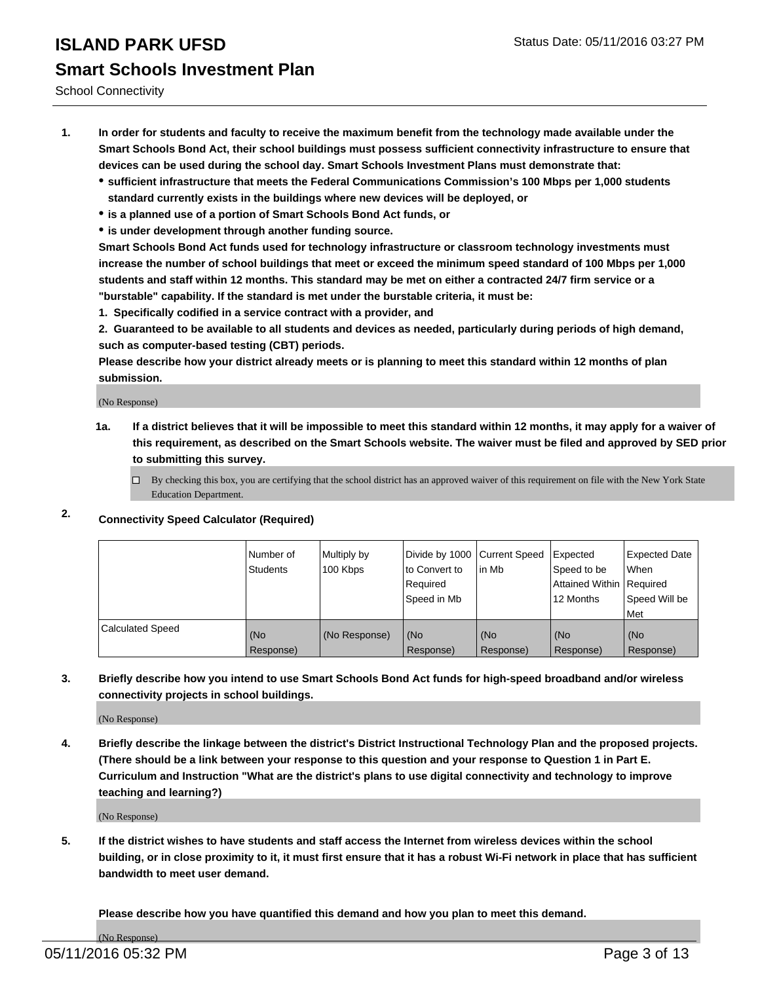School Connectivity

- **1. In order for students and faculty to receive the maximum benefit from the technology made available under the Smart Schools Bond Act, their school buildings must possess sufficient connectivity infrastructure to ensure that devices can be used during the school day. Smart Schools Investment Plans must demonstrate that:**
	- **sufficient infrastructure that meets the Federal Communications Commission's 100 Mbps per 1,000 students standard currently exists in the buildings where new devices will be deployed, or**
	- **is a planned use of a portion of Smart Schools Bond Act funds, or**
	- **is under development through another funding source.**

**Smart Schools Bond Act funds used for technology infrastructure or classroom technology investments must increase the number of school buildings that meet or exceed the minimum speed standard of 100 Mbps per 1,000 students and staff within 12 months. This standard may be met on either a contracted 24/7 firm service or a "burstable" capability. If the standard is met under the burstable criteria, it must be:**

**1. Specifically codified in a service contract with a provider, and**

**2. Guaranteed to be available to all students and devices as needed, particularly during periods of high demand, such as computer-based testing (CBT) periods.**

**Please describe how your district already meets or is planning to meet this standard within 12 months of plan submission.**

(No Response)

- **1a. If a district believes that it will be impossible to meet this standard within 12 months, it may apply for a waiver of this requirement, as described on the Smart Schools website. The waiver must be filed and approved by SED prior to submitting this survey.**
	- □ By checking this box, you are certifying that the school district has an approved waiver of this requirement on file with the New York State Education Department.
- **2. Connectivity Speed Calculator (Required)**

|                         | Number of<br>Students | Multiply by<br>100 Kbps | Divide by 1000 Current Speed<br>Ito Convert to<br>Required<br>l Speed in Mb | lin Mb             | Expected<br>Speed to be<br>Attained Within   Required<br>12 Months | Expected Date<br><b>When</b><br>Speed Will be<br>Met |
|-------------------------|-----------------------|-------------------------|-----------------------------------------------------------------------------|--------------------|--------------------------------------------------------------------|------------------------------------------------------|
| <b>Calculated Speed</b> | (No<br>Response)      | (No Response)           | (No<br>Response)                                                            | l (No<br>Response) | (No<br>Response)                                                   | l (No<br>Response)                                   |

#### **3. Briefly describe how you intend to use Smart Schools Bond Act funds for high-speed broadband and/or wireless connectivity projects in school buildings.**

(No Response)

**4. Briefly describe the linkage between the district's District Instructional Technology Plan and the proposed projects. (There should be a link between your response to this question and your response to Question 1 in Part E. Curriculum and Instruction "What are the district's plans to use digital connectivity and technology to improve teaching and learning?)**

(No Response)

**5. If the district wishes to have students and staff access the Internet from wireless devices within the school building, or in close proximity to it, it must first ensure that it has a robust Wi-Fi network in place that has sufficient bandwidth to meet user demand.**

**Please describe how you have quantified this demand and how you plan to meet this demand.**

(No Response)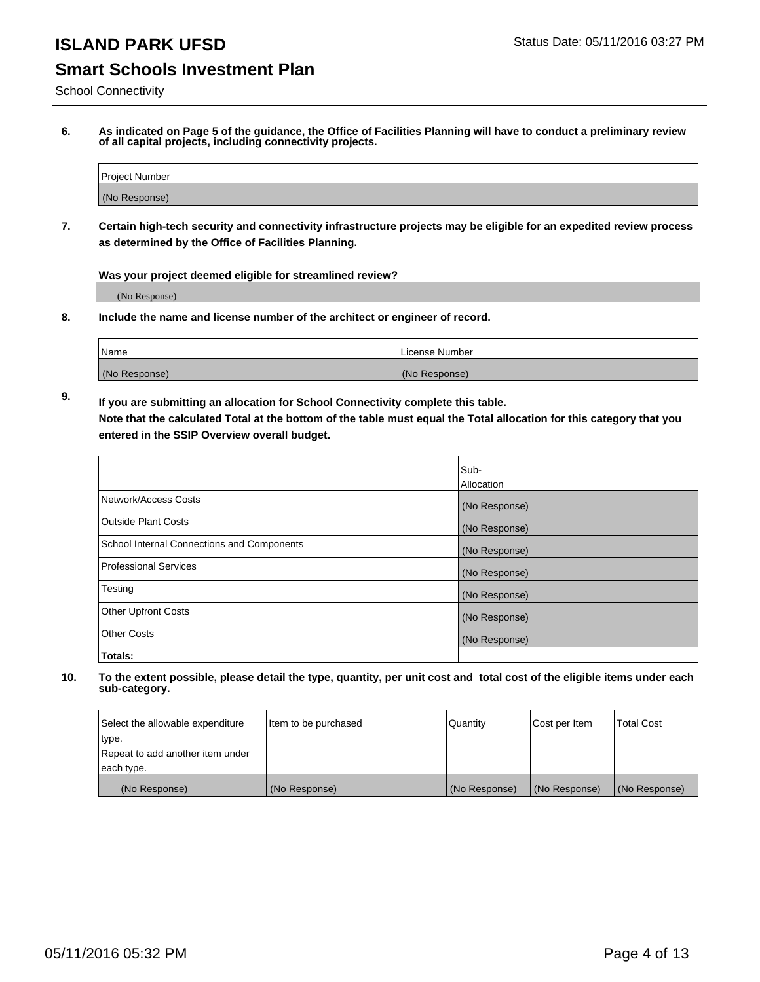School Connectivity

**6. As indicated on Page 5 of the guidance, the Office of Facilities Planning will have to conduct a preliminary review of all capital projects, including connectivity projects.**

| Project Number |  |
|----------------|--|
| (No Response)  |  |

**7. Certain high-tech security and connectivity infrastructure projects may be eligible for an expedited review process as determined by the Office of Facilities Planning.**

**Was your project deemed eligible for streamlined review?**

(No Response)

**8. Include the name and license number of the architect or engineer of record.**

| <sup>1</sup> Name | l License Number |
|-------------------|------------------|
| (No Response)     | (No Response)    |

**9. If you are submitting an allocation for School Connectivity complete this table. Note that the calculated Total at the bottom of the table must equal the Total allocation for this category that you entered in the SSIP Overview overall budget.** 

|                                            | Sub-              |
|--------------------------------------------|-------------------|
|                                            | <b>Allocation</b> |
| Network/Access Costs                       | (No Response)     |
| <b>Outside Plant Costs</b>                 | (No Response)     |
| School Internal Connections and Components | (No Response)     |
| <b>Professional Services</b>               | (No Response)     |
| Testing                                    | (No Response)     |
| <b>Other Upfront Costs</b>                 | (No Response)     |
| <b>Other Costs</b>                         | (No Response)     |
| Totals:                                    |                   |

| Select the allowable expenditure | Item to be purchased | Quantity      | Cost per Item | Total Cost    |
|----------------------------------|----------------------|---------------|---------------|---------------|
| type.                            |                      |               |               |               |
| Repeat to add another item under |                      |               |               |               |
| each type.                       |                      |               |               |               |
| (No Response)                    | (No Response)        | (No Response) | (No Response) | (No Response) |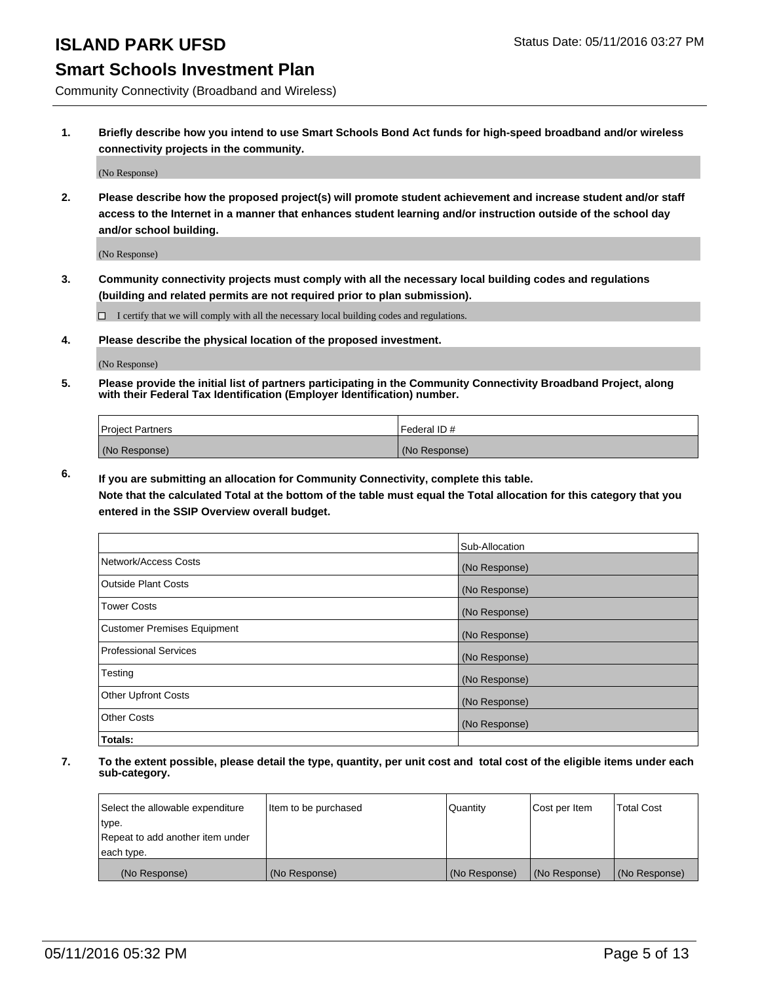#### **Smart Schools Investment Plan**

Community Connectivity (Broadband and Wireless)

**1. Briefly describe how you intend to use Smart Schools Bond Act funds for high-speed broadband and/or wireless connectivity projects in the community.**

(No Response)

**2. Please describe how the proposed project(s) will promote student achievement and increase student and/or staff access to the Internet in a manner that enhances student learning and/or instruction outside of the school day and/or school building.**

(No Response)

**3. Community connectivity projects must comply with all the necessary local building codes and regulations (building and related permits are not required prior to plan submission).**

 $\Box$  I certify that we will comply with all the necessary local building codes and regulations.

**4. Please describe the physical location of the proposed investment.**

(No Response)

**5. Please provide the initial list of partners participating in the Community Connectivity Broadband Project, along with their Federal Tax Identification (Employer Identification) number.**

| <b>Project Partners</b> | <b>IFederal ID#</b> |
|-------------------------|---------------------|
| (No Response)           | (No Response)       |

**6. If you are submitting an allocation for Community Connectivity, complete this table.**

**Note that the calculated Total at the bottom of the table must equal the Total allocation for this category that you entered in the SSIP Overview overall budget.**

|                                    | Sub-Allocation |
|------------------------------------|----------------|
| Network/Access Costs               | (No Response)  |
| Outside Plant Costs                | (No Response)  |
| <b>Tower Costs</b>                 | (No Response)  |
| <b>Customer Premises Equipment</b> | (No Response)  |
| Professional Services              | (No Response)  |
| Testing                            | (No Response)  |
| <b>Other Upfront Costs</b>         | (No Response)  |
| Other Costs                        | (No Response)  |
| Totals:                            |                |

| Select the allowable expenditure | litem to be purchased | Quantity      | Cost per Item | <b>Total Cost</b> |
|----------------------------------|-----------------------|---------------|---------------|-------------------|
| type.                            |                       |               |               |                   |
| Repeat to add another item under |                       |               |               |                   |
| each type.                       |                       |               |               |                   |
| (No Response)                    | (No Response)         | (No Response) | (No Response) | (No Response)     |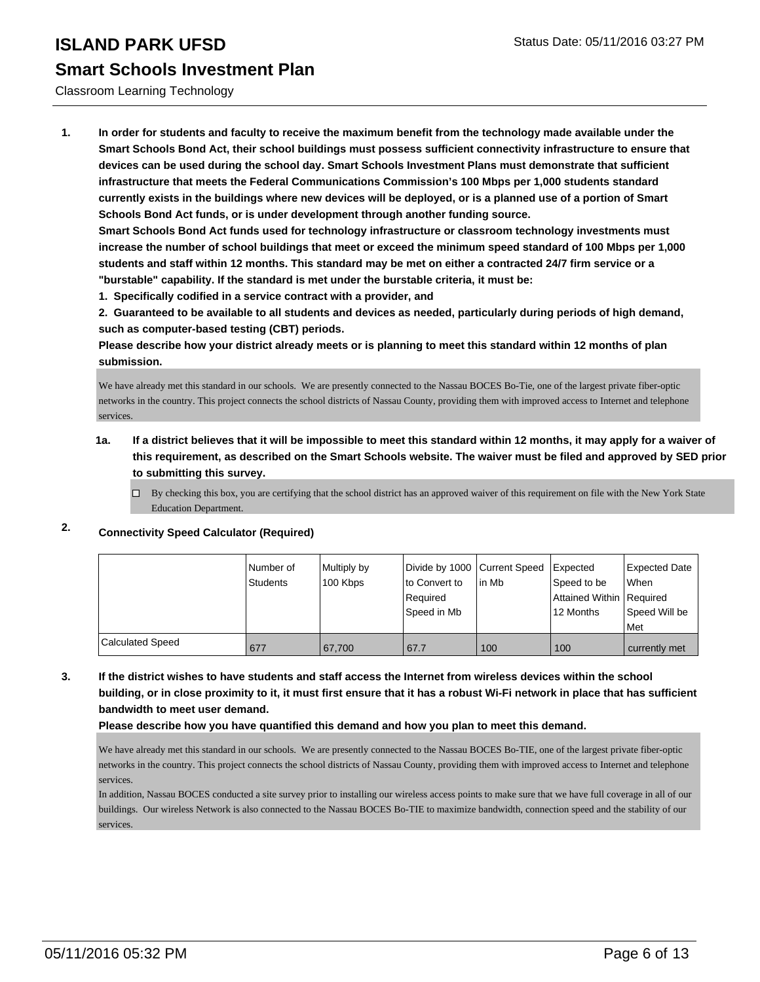#### Classroom Learning Technology

**1. In order for students and faculty to receive the maximum benefit from the technology made available under the Smart Schools Bond Act, their school buildings must possess sufficient connectivity infrastructure to ensure that devices can be used during the school day. Smart Schools Investment Plans must demonstrate that sufficient infrastructure that meets the Federal Communications Commission's 100 Mbps per 1,000 students standard currently exists in the buildings where new devices will be deployed, or is a planned use of a portion of Smart Schools Bond Act funds, or is under development through another funding source.**

**Smart Schools Bond Act funds used for technology infrastructure or classroom technology investments must increase the number of school buildings that meet or exceed the minimum speed standard of 100 Mbps per 1,000 students and staff within 12 months. This standard may be met on either a contracted 24/7 firm service or a "burstable" capability. If the standard is met under the burstable criteria, it must be:**

**1. Specifically codified in a service contract with a provider, and**

**2. Guaranteed to be available to all students and devices as needed, particularly during periods of high demand, such as computer-based testing (CBT) periods.**

**Please describe how your district already meets or is planning to meet this standard within 12 months of plan submission.**

We have already met this standard in our schools. We are presently connected to the Nassau BOCES Bo-Tie, one of the largest private fiber-optic networks in the country. This project connects the school districts of Nassau County, providing them with improved access to Internet and telephone services.

#### **1a. If a district believes that it will be impossible to meet this standard within 12 months, it may apply for a waiver of this requirement, as described on the Smart Schools website. The waiver must be filed and approved by SED prior to submitting this survey.**

 $\Box$  By checking this box, you are certifying that the school district has an approved waiver of this requirement on file with the New York State Education Department.

#### **2. Connectivity Speed Calculator (Required)**

|                         | Number of<br><b>Students</b> | Multiply by<br>100 Kbps | Divide by 1000 Current Speed<br>to Convert to<br>Required<br>Speed in Mb | lin Mb | <b>Expected</b><br>Speed to be<br>Attained Within   Required<br>12 Months | Expected Date<br><b>When</b><br>Speed Will be<br><b>Met</b> |
|-------------------------|------------------------------|-------------------------|--------------------------------------------------------------------------|--------|---------------------------------------------------------------------------|-------------------------------------------------------------|
| <b>Calculated Speed</b> | 677                          | 67.700                  | 67.7                                                                     | 100    | 100                                                                       | currently met                                               |

**3. If the district wishes to have students and staff access the Internet from wireless devices within the school building, or in close proximity to it, it must first ensure that it has a robust Wi-Fi network in place that has sufficient bandwidth to meet user demand.**

**Please describe how you have quantified this demand and how you plan to meet this demand.**

We have already met this standard in our schools. We are presently connected to the Nassau BOCES Bo-TIE, one of the largest private fiber-optic networks in the country. This project connects the school districts of Nassau County, providing them with improved access to Internet and telephone services.

In addition, Nassau BOCES conducted a site survey prior to installing our wireless access points to make sure that we have full coverage in all of our buildings. Our wireless Network is also connected to the Nassau BOCES Bo-TIE to maximize bandwidth, connection speed and the stability of our services.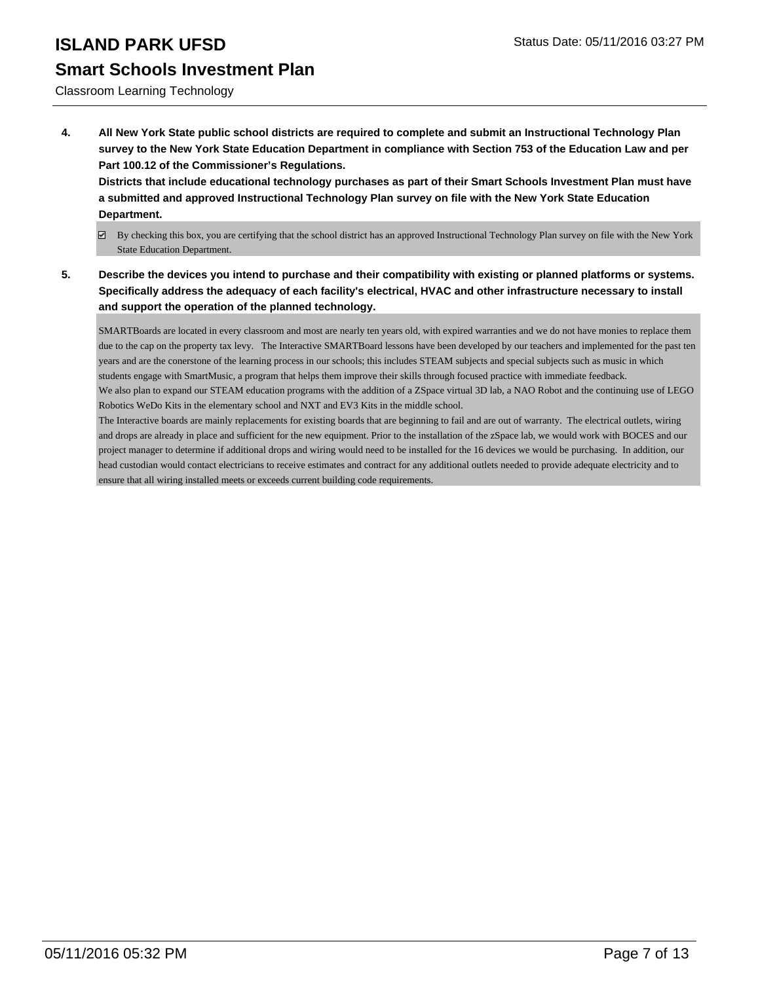Classroom Learning Technology

**4. All New York State public school districts are required to complete and submit an Instructional Technology Plan survey to the New York State Education Department in compliance with Section 753 of the Education Law and per Part 100.12 of the Commissioner's Regulations.**

**Districts that include educational technology purchases as part of their Smart Schools Investment Plan must have a submitted and approved Instructional Technology Plan survey on file with the New York State Education Department.**

- $\boxdot$  By checking this box, you are certifying that the school district has an approved Instructional Technology Plan survey on file with the New York State Education Department.
- **5. Describe the devices you intend to purchase and their compatibility with existing or planned platforms or systems. Specifically address the adequacy of each facility's electrical, HVAC and other infrastructure necessary to install and support the operation of the planned technology.**

SMARTBoards are located in every classroom and most are nearly ten years old, with expired warranties and we do not have monies to replace them due to the cap on the property tax levy. The Interactive SMARTBoard lessons have been developed by our teachers and implemented for the past ten years and are the conerstone of the learning process in our schools; this includes STEAM subjects and special subjects such as music in which students engage with SmartMusic, a program that helps them improve their skills through focused practice with immediate feedback. We also plan to expand our STEAM education programs with the addition of a ZSpace virtual 3D lab, a NAO Robot and the continuing use of LEGO Robotics WeDo Kits in the elementary school and NXT and EV3 Kits in the middle school.

The Interactive boards are mainly replacements for existing boards that are beginning to fail and are out of warranty. The electrical outlets, wiring and drops are already in place and sufficient for the new equipment. Prior to the installation of the zSpace lab, we would work with BOCES and our project manager to determine if additional drops and wiring would need to be installed for the 16 devices we would be purchasing. In addition, our head custodian would contact electricians to receive estimates and contract for any additional outlets needed to provide adequate electricity and to ensure that all wiring installed meets or exceeds current building code requirements.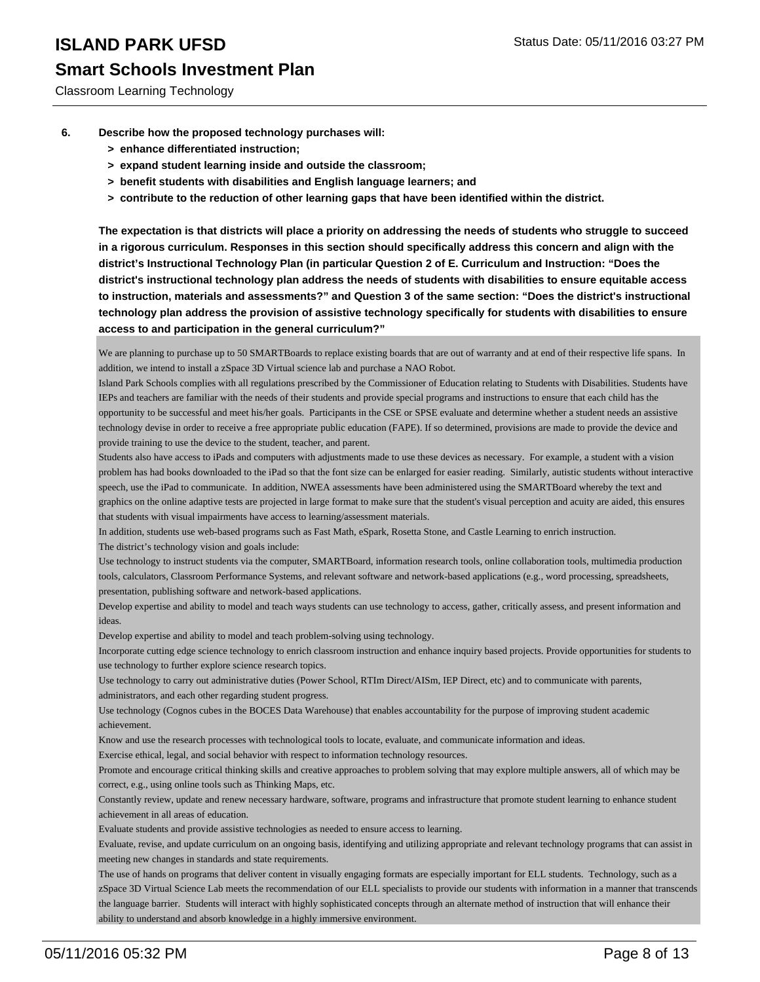Classroom Learning Technology

- **6. Describe how the proposed technology purchases will:**
	- **> enhance differentiated instruction;**
	- **> expand student learning inside and outside the classroom;**
	- **> benefit students with disabilities and English language learners; and**
	- **> contribute to the reduction of other learning gaps that have been identified within the district.**

**The expectation is that districts will place a priority on addressing the needs of students who struggle to succeed in a rigorous curriculum. Responses in this section should specifically address this concern and align with the district's Instructional Technology Plan (in particular Question 2 of E. Curriculum and Instruction: "Does the district's instructional technology plan address the needs of students with disabilities to ensure equitable access to instruction, materials and assessments?" and Question 3 of the same section: "Does the district's instructional technology plan address the provision of assistive technology specifically for students with disabilities to ensure access to and participation in the general curriculum?"**

We are planning to purchase up to 50 SMARTBoards to replace existing boards that are out of warranty and at end of their respective life spans. In addition, we intend to install a zSpace 3D Virtual science lab and purchase a NAO Robot.

Island Park Schools complies with all regulations prescribed by the Commissioner of Education relating to Students with Disabilities. Students have IEPs and teachers are familiar with the needs of their students and provide special programs and instructions to ensure that each child has the opportunity to be successful and meet his/her goals. Participants in the CSE or SPSE evaluate and determine whether a student needs an assistive technology devise in order to receive a free appropriate public education (FAPE). If so determined, provisions are made to provide the device and provide training to use the device to the student, teacher, and parent.

Students also have access to iPads and computers with adjustments made to use these devices as necessary. For example, a student with a vision problem has had books downloaded to the iPad so that the font size can be enlarged for easier reading. Similarly, autistic students without interactive speech, use the iPad to communicate. In addition, NWEA assessments have been administered using the SMARTBoard whereby the text and graphics on the online adaptive tests are projected in large format to make sure that the student's visual perception and acuity are aided, this ensures that students with visual impairments have access to learning/assessment materials.

In addition, students use web-based programs such as Fast Math, eSpark, Rosetta Stone, and Castle Learning to enrich instruction.

The district's technology vision and goals include:

Use technology to instruct students via the computer, SMARTBoard, information research tools, online collaboration tools, multimedia production tools, calculators, Classroom Performance Systems, and relevant software and network-based applications (e.g., word processing, spreadsheets, presentation, publishing software and network-based applications.

Develop expertise and ability to model and teach ways students can use technology to access, gather, critically assess, and present information and ideas.

Develop expertise and ability to model and teach problem-solving using technology.

Incorporate cutting edge science technology to enrich classroom instruction and enhance inquiry based projects. Provide opportunities for students to use technology to further explore science research topics.

Use technology to carry out administrative duties (Power School, RTIm Direct/AISm, IEP Direct, etc) and to communicate with parents, administrators, and each other regarding student progress.

Use technology (Cognos cubes in the BOCES Data Warehouse) that enables accountability for the purpose of improving student academic achievement.

Know and use the research processes with technological tools to locate, evaluate, and communicate information and ideas.

Exercise ethical, legal, and social behavior with respect to information technology resources.

Promote and encourage critical thinking skills and creative approaches to problem solving that may explore multiple answers, all of which may be correct, e.g., using online tools such as Thinking Maps, etc.

Constantly review, update and renew necessary hardware, software, programs and infrastructure that promote student learning to enhance student achievement in all areas of education.

Evaluate students and provide assistive technologies as needed to ensure access to learning.

Evaluate, revise, and update curriculum on an ongoing basis, identifying and utilizing appropriate and relevant technology programs that can assist in meeting new changes in standards and state requirements.

The use of hands on programs that deliver content in visually engaging formats are especially important for ELL students. Technology, such as a zSpace 3D Virtual Science Lab meets the recommendation of our ELL specialists to provide our students with information in a manner that transcends the language barrier. Students will interact with highly sophisticated concepts through an alternate method of instruction that will enhance their ability to understand and absorb knowledge in a highly immersive environment.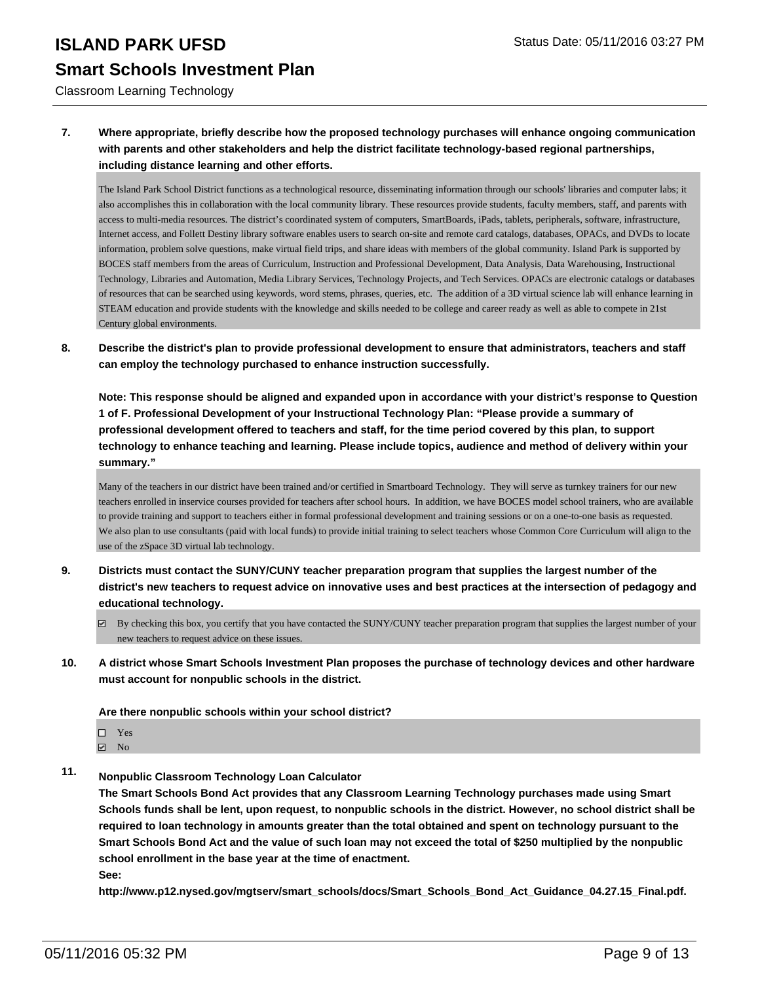Classroom Learning Technology

#### **7. Where appropriate, briefly describe how the proposed technology purchases will enhance ongoing communication with parents and other stakeholders and help the district facilitate technology-based regional partnerships, including distance learning and other efforts.**

The Island Park School District functions as a technological resource, disseminating information through our schools' libraries and computer labs; it also accomplishes this in collaboration with the local community library. These resources provide students, faculty members, staff, and parents with access to multi-media resources. The district's coordinated system of computers, SmartBoards, iPads, tablets, peripherals, software, infrastructure, Internet access, and Follett Destiny library software enables users to search on-site and remote card catalogs, databases, OPACs, and DVDs to locate information, problem solve questions, make virtual field trips, and share ideas with members of the global community. Island Park is supported by BOCES staff members from the areas of Curriculum, Instruction and Professional Development, Data Analysis, Data Warehousing, Instructional Technology, Libraries and Automation, Media Library Services, Technology Projects, and Tech Services. OPACs are electronic catalogs or databases of resources that can be searched using keywords, word stems, phrases, queries, etc. The addition of a 3D virtual science lab will enhance learning in STEAM education and provide students with the knowledge and skills needed to be college and career ready as well as able to compete in 21st Century global environments.

#### **8. Describe the district's plan to provide professional development to ensure that administrators, teachers and staff can employ the technology purchased to enhance instruction successfully.**

**Note: This response should be aligned and expanded upon in accordance with your district's response to Question 1 of F. Professional Development of your Instructional Technology Plan: "Please provide a summary of professional development offered to teachers and staff, for the time period covered by this plan, to support technology to enhance teaching and learning. Please include topics, audience and method of delivery within your summary."**

Many of the teachers in our district have been trained and/or certified in Smartboard Technology. They will serve as turnkey trainers for our new teachers enrolled in inservice courses provided for teachers after school hours. In addition, we have BOCES model school trainers, who are available to provide training and support to teachers either in formal professional development and training sessions or on a one-to-one basis as requested. We also plan to use consultants (paid with local funds) to provide initial training to select teachers whose Common Core Curriculum will align to the use of the zSpace 3D virtual lab technology.

- **9. Districts must contact the SUNY/CUNY teacher preparation program that supplies the largest number of the district's new teachers to request advice on innovative uses and best practices at the intersection of pedagogy and educational technology.**
	- $\boxtimes$  By checking this box, you certify that you have contacted the SUNY/CUNY teacher preparation program that supplies the largest number of your new teachers to request advice on these issues.
- **10. A district whose Smart Schools Investment Plan proposes the purchase of technology devices and other hardware must account for nonpublic schools in the district.**

**Are there nonpublic schools within your school district?**

- Yes  $N<sub>0</sub>$
- **11. Nonpublic Classroom Technology Loan Calculator**

**The Smart Schools Bond Act provides that any Classroom Learning Technology purchases made using Smart Schools funds shall be lent, upon request, to nonpublic schools in the district. However, no school district shall be required to loan technology in amounts greater than the total obtained and spent on technology pursuant to the Smart Schools Bond Act and the value of such loan may not exceed the total of \$250 multiplied by the nonpublic school enrollment in the base year at the time of enactment. See:**

**http://www.p12.nysed.gov/mgtserv/smart\_schools/docs/Smart\_Schools\_Bond\_Act\_Guidance\_04.27.15\_Final.pdf.**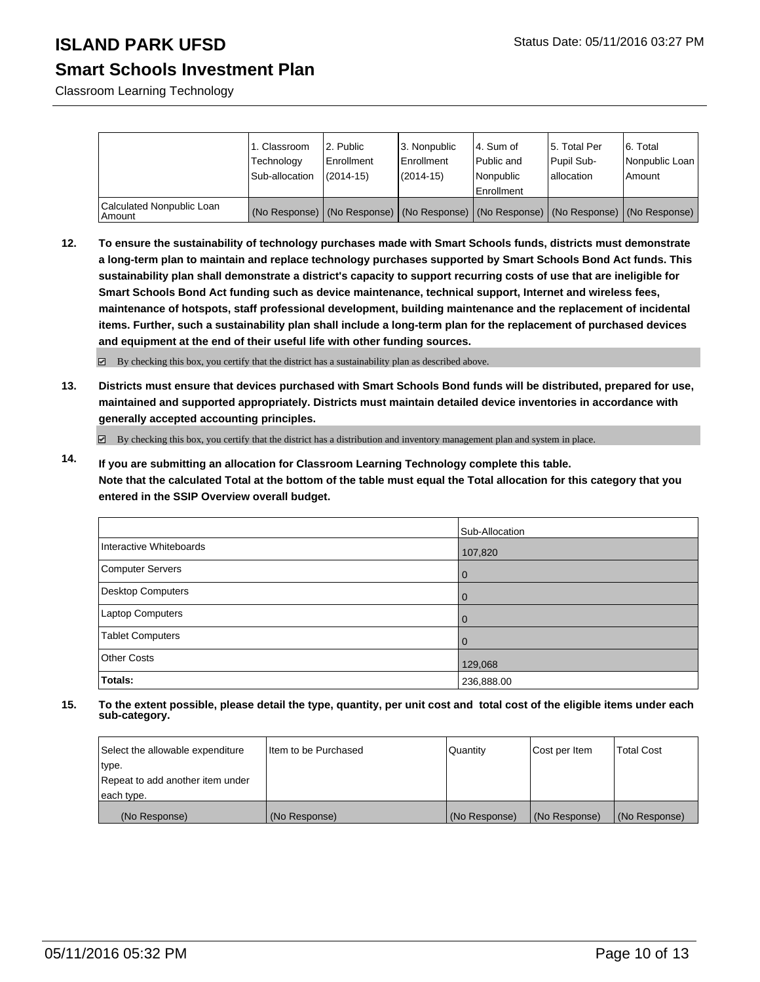#### **Smart Schools Investment Plan**

Classroom Learning Technology

|                                     | 1. Classroom<br>Technology<br>Sub-allocation | 2. Public<br>Enrollment<br>$(2014 - 15)$ | 3. Nonpublic<br>Enrollment<br>$(2014 - 15)$ | l 4. Sum of<br>Public and<br>Nonpublic<br>Enrollment                                          | 15. Total Per<br>Pupil Sub-<br>lallocation | 6. Total<br>Nonpublic Loan<br>l Amount |
|-------------------------------------|----------------------------------------------|------------------------------------------|---------------------------------------------|-----------------------------------------------------------------------------------------------|--------------------------------------------|----------------------------------------|
| Calculated Nonpublic Loan<br>Amount |                                              |                                          |                                             | (No Response)   (No Response)   (No Response)   (No Response)   (No Response)   (No Response) |                                            |                                        |

**12. To ensure the sustainability of technology purchases made with Smart Schools funds, districts must demonstrate a long-term plan to maintain and replace technology purchases supported by Smart Schools Bond Act funds. This sustainability plan shall demonstrate a district's capacity to support recurring costs of use that are ineligible for Smart Schools Bond Act funding such as device maintenance, technical support, Internet and wireless fees, maintenance of hotspots, staff professional development, building maintenance and the replacement of incidental items. Further, such a sustainability plan shall include a long-term plan for the replacement of purchased devices and equipment at the end of their useful life with other funding sources.**

By checking this box, you certify that the district has a sustainability plan as described above.

**13. Districts must ensure that devices purchased with Smart Schools Bond funds will be distributed, prepared for use, maintained and supported appropriately. Districts must maintain detailed device inventories in accordance with generally accepted accounting principles.**

By checking this box, you certify that the district has a distribution and inventory management plan and system in place.

**14. If you are submitting an allocation for Classroom Learning Technology complete this table. Note that the calculated Total at the bottom of the table must equal the Total allocation for this category that you entered in the SSIP Overview overall budget.**

|                         | Sub-Allocation |
|-------------------------|----------------|
| Interactive Whiteboards | 107,820        |
| Computer Servers        | l 0            |
| Desktop Computers       | l 0            |
| Laptop Computers        | $\overline{0}$ |
| <b>Tablet Computers</b> | l 0            |
| <b>Other Costs</b>      | 129,068        |
| Totals:                 | 236,888.00     |

| Select the allowable expenditure | Iltem to be Purchased | <b>Quantity</b> | Cost per Item | <b>Total Cost</b> |
|----------------------------------|-----------------------|-----------------|---------------|-------------------|
| type.                            |                       |                 |               |                   |
| Repeat to add another item under |                       |                 |               |                   |
| each type.                       |                       |                 |               |                   |
| (No Response)                    | (No Response)         | (No Response)   | (No Response) | (No Response)     |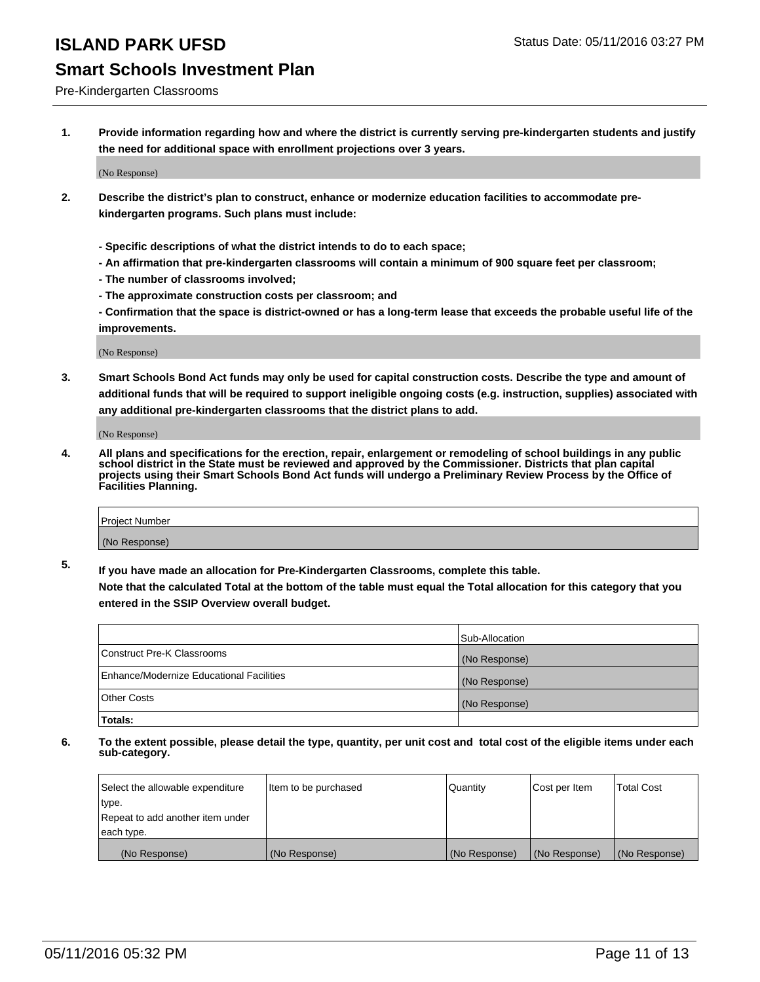#### Pre-Kindergarten Classrooms

**1. Provide information regarding how and where the district is currently serving pre-kindergarten students and justify the need for additional space with enrollment projections over 3 years.**

(No Response)

- **2. Describe the district's plan to construct, enhance or modernize education facilities to accommodate prekindergarten programs. Such plans must include:**
	- **Specific descriptions of what the district intends to do to each space;**
	- **An affirmation that pre-kindergarten classrooms will contain a minimum of 900 square feet per classroom;**
	- **The number of classrooms involved;**
	- **The approximate construction costs per classroom; and**
	- **Confirmation that the space is district-owned or has a long-term lease that exceeds the probable useful life of the improvements.**

(No Response)

**3. Smart Schools Bond Act funds may only be used for capital construction costs. Describe the type and amount of additional funds that will be required to support ineligible ongoing costs (e.g. instruction, supplies) associated with any additional pre-kindergarten classrooms that the district plans to add.**

(No Response)

**4. All plans and specifications for the erection, repair, enlargement or remodeling of school buildings in any public school district in the State must be reviewed and approved by the Commissioner. Districts that plan capital projects using their Smart Schools Bond Act funds will undergo a Preliminary Review Process by the Office of Facilities Planning.**

| Project Number |  |
|----------------|--|
| (No Response)  |  |

**5. If you have made an allocation for Pre-Kindergarten Classrooms, complete this table. Note that the calculated Total at the bottom of the table must equal the Total allocation for this category that you**

**entered in the SSIP Overview overall budget.**

|                                          | Sub-Allocation |
|------------------------------------------|----------------|
| Construct Pre-K Classrooms               | (No Response)  |
| Enhance/Modernize Educational Facilities | (No Response)  |
| Other Costs                              | (No Response)  |
| Totals:                                  |                |

| Select the allowable expenditure | Item to be purchased | Quantity      | Cost per Item | <b>Total Cost</b> |
|----------------------------------|----------------------|---------------|---------------|-------------------|
| type.                            |                      |               |               |                   |
| Repeat to add another item under |                      |               |               |                   |
| each type.                       |                      |               |               |                   |
| (No Response)                    | (No Response)        | (No Response) | (No Response) | (No Response)     |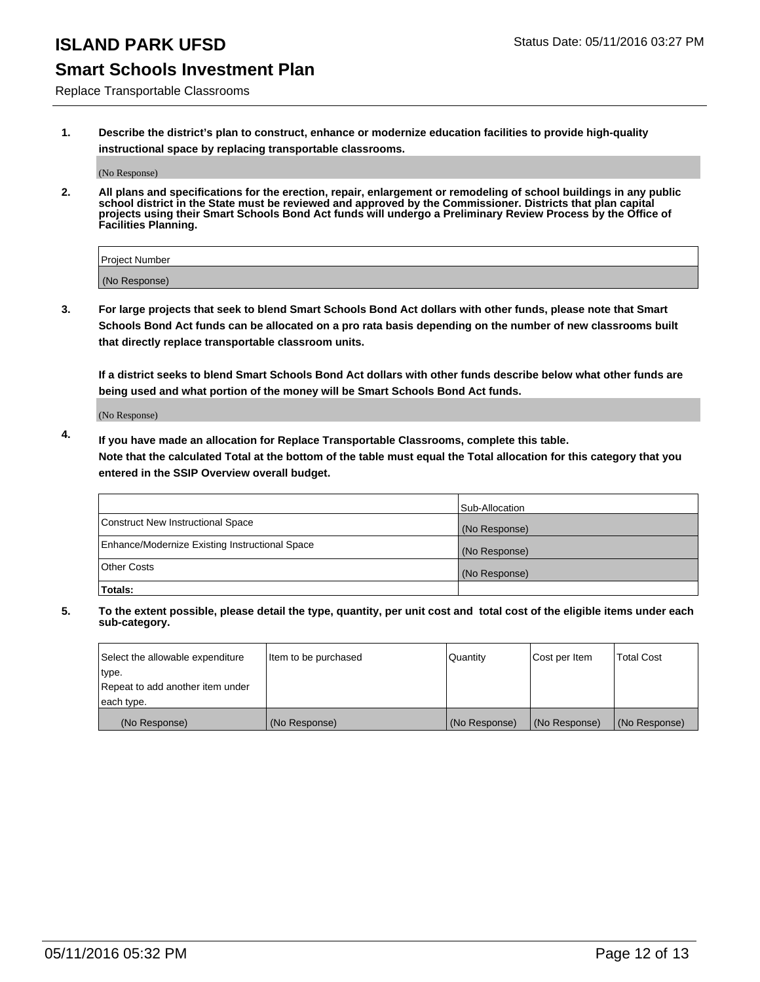#### **Smart Schools Investment Plan**

Replace Transportable Classrooms

**1. Describe the district's plan to construct, enhance or modernize education facilities to provide high-quality instructional space by replacing transportable classrooms.**

(No Response)

**2. All plans and specifications for the erection, repair, enlargement or remodeling of school buildings in any public school district in the State must be reviewed and approved by the Commissioner. Districts that plan capital projects using their Smart Schools Bond Act funds will undergo a Preliminary Review Process by the Office of Facilities Planning.**

| Project Number |  |
|----------------|--|
| (No Response)  |  |

**3. For large projects that seek to blend Smart Schools Bond Act dollars with other funds, please note that Smart Schools Bond Act funds can be allocated on a pro rata basis depending on the number of new classrooms built that directly replace transportable classroom units.**

**If a district seeks to blend Smart Schools Bond Act dollars with other funds describe below what other funds are being used and what portion of the money will be Smart Schools Bond Act funds.**

(No Response)

**4. If you have made an allocation for Replace Transportable Classrooms, complete this table. Note that the calculated Total at the bottom of the table must equal the Total allocation for this category that you entered in the SSIP Overview overall budget.**

|                                                | Sub-Allocation |
|------------------------------------------------|----------------|
| Construct New Instructional Space              | (No Response)  |
| Enhance/Modernize Existing Instructional Space | (No Response)  |
| <b>Other Costs</b>                             | (No Response)  |
| Totals:                                        |                |

| Select the allowable expenditure | Item to be purchased | Quantity      | Cost per Item | <b>Total Cost</b> |
|----------------------------------|----------------------|---------------|---------------|-------------------|
| type.                            |                      |               |               |                   |
| Repeat to add another item under |                      |               |               |                   |
| each type.                       |                      |               |               |                   |
| (No Response)                    | (No Response)        | (No Response) | (No Response) | (No Response)     |